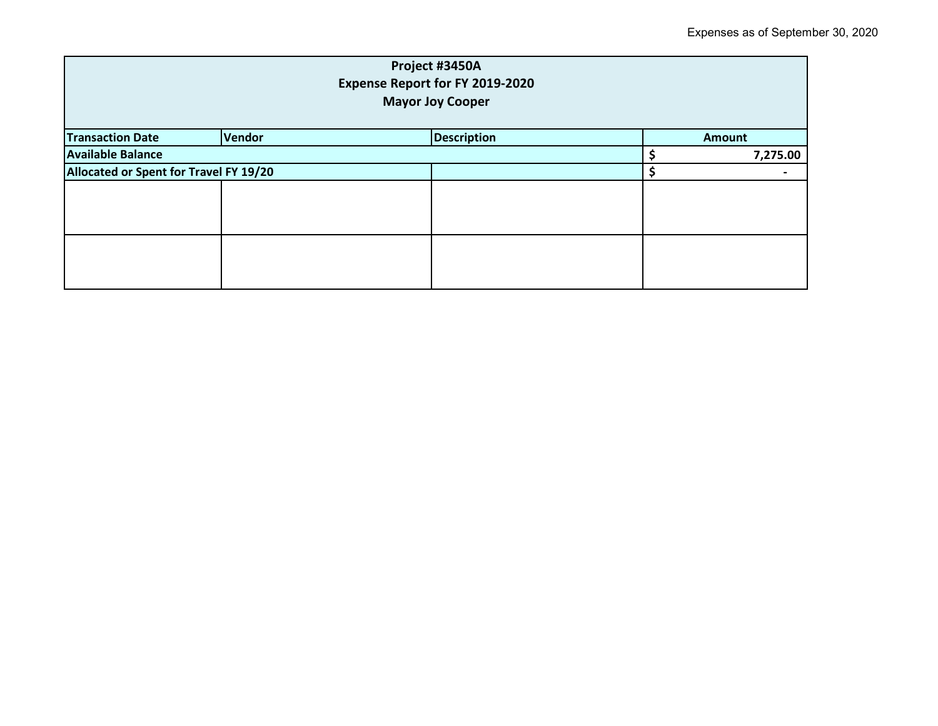| Project #3450A<br>Expense Report for FY 2019-2020<br><b>Mayor Joy Cooper</b> |        |                    |  |               |  |
|------------------------------------------------------------------------------|--------|--------------------|--|---------------|--|
| <b>Transaction Date</b>                                                      | Vendor | <b>Description</b> |  | <b>Amount</b> |  |
| <b>Available Balance</b>                                                     |        |                    |  | 7,275.00      |  |
| Allocated or Spent for Travel FY 19/20                                       |        |                    |  |               |  |
|                                                                              |        |                    |  |               |  |
|                                                                              |        |                    |  |               |  |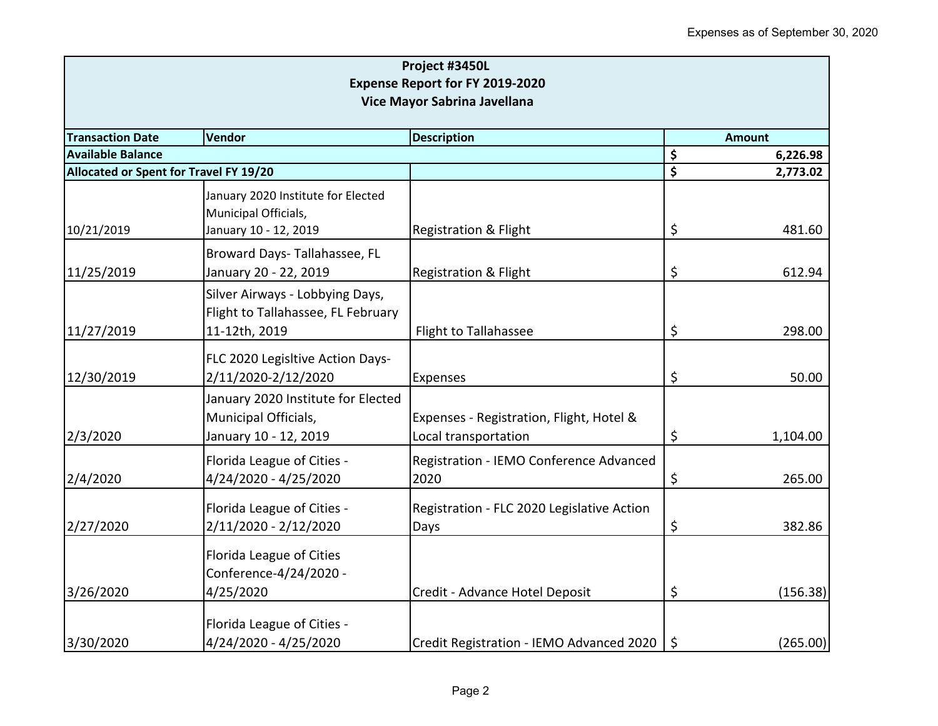| Project #3450L<br><b>Expense Report for FY 2019-2020</b><br>Vice Mayor Sabrina Javellana |                                                                                        |                                                                  |         |          |  |
|------------------------------------------------------------------------------------------|----------------------------------------------------------------------------------------|------------------------------------------------------------------|---------|----------|--|
|                                                                                          |                                                                                        |                                                                  |         |          |  |
| <b>Available Balance</b>                                                                 |                                                                                        |                                                                  | \$      | 6,226.98 |  |
| Allocated or Spent for Travel FY 19/20                                                   |                                                                                        |                                                                  | \$      | 2,773.02 |  |
|                                                                                          | January 2020 Institute for Elected<br>Municipal Officials,                             |                                                                  |         | 481.60   |  |
| 10/21/2019                                                                               | January 10 - 12, 2019                                                                  | <b>Registration &amp; Flight</b>                                 | \$      |          |  |
| 11/25/2019                                                                               | Broward Days-Tallahassee, FL<br>January 20 - 22, 2019                                  | <b>Registration &amp; Flight</b>                                 | \$      | 612.94   |  |
| 11/27/2019                                                                               | Silver Airways - Lobbying Days,<br>Flight to Tallahassee, FL February<br>11-12th, 2019 | <b>Flight to Tallahassee</b>                                     | \$      | 298.00   |  |
|                                                                                          |                                                                                        |                                                                  |         |          |  |
| 12/30/2019                                                                               | FLC 2020 Legisltive Action Days-<br>2/11/2020-2/12/2020                                | <b>Expenses</b>                                                  | \$      | 50.00    |  |
| 2/3/2020                                                                                 | January 2020 Institute for Elected<br>Municipal Officials,<br>January 10 - 12, 2019    | Expenses - Registration, Flight, Hotel &<br>Local transportation | \$      | 1,104.00 |  |
| 2/4/2020                                                                                 | Florida League of Cities -<br>4/24/2020 - 4/25/2020                                    | Registration - IEMO Conference Advanced<br>2020                  | \$      | 265.00   |  |
| 2/27/2020                                                                                | Florida League of Cities -<br>2/11/2020 - 2/12/2020                                    | Registration - FLC 2020 Legislative Action<br>Days               | \$      | 382.86   |  |
|                                                                                          | Florida League of Cities<br>Conference-4/24/2020 -                                     |                                                                  |         |          |  |
| 3/26/2020                                                                                | 4/25/2020                                                                              | Credit - Advance Hotel Deposit                                   | \$      | (156.38) |  |
| 3/30/2020                                                                                | Florida League of Cities -<br>4/24/2020 - 4/25/2020                                    | Credit Registration - IEMO Advanced 2020                         | $\zeta$ | (265.00) |  |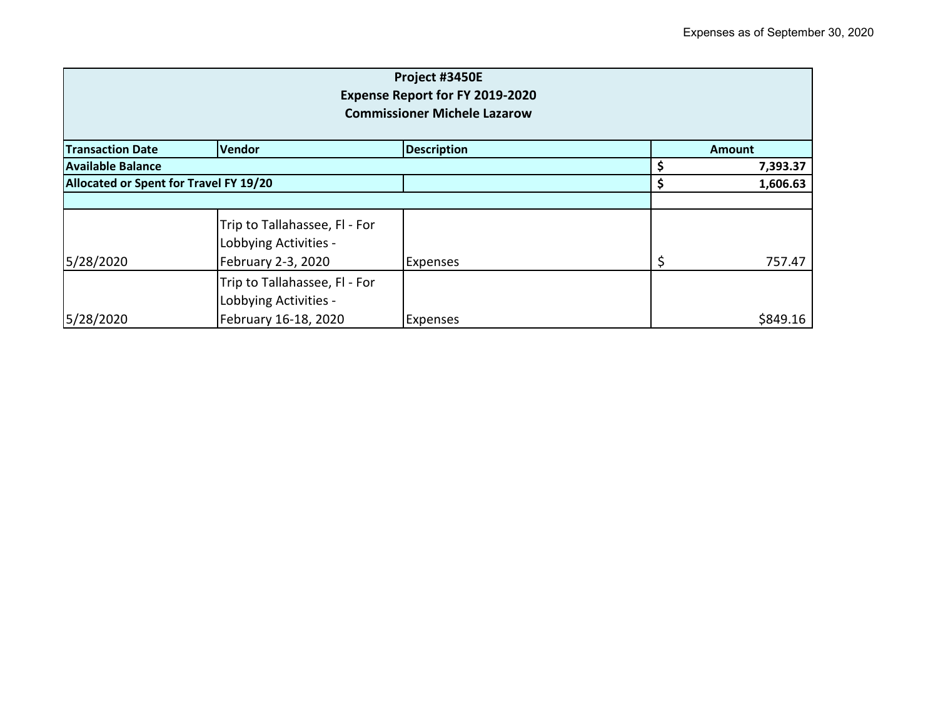| Project #3450E<br>Expense Report for FY 2019-2020<br><b>Commissioner Michele Lazarow</b> |                                                                                |                    |    |               |
|------------------------------------------------------------------------------------------|--------------------------------------------------------------------------------|--------------------|----|---------------|
| <b>Transaction Date</b>                                                                  | Vendor                                                                         | <b>Description</b> |    | <b>Amount</b> |
| <b>Available Balance</b>                                                                 |                                                                                |                    |    | 7,393.37      |
| Allocated or Spent for Travel FY 19/20                                                   |                                                                                |                    |    | 1,606.63      |
|                                                                                          |                                                                                |                    |    |               |
| 5/28/2020                                                                                | Trip to Tallahassee, Fl - For<br>Lobbying Activities -<br>February 2-3, 2020   | <b>Expenses</b>    | \$ | 757.47        |
| 5/28/2020                                                                                | Trip to Tallahassee, Fl - For<br>Lobbying Activities -<br>February 16-18, 2020 | <b>Expenses</b>    |    | \$849.16      |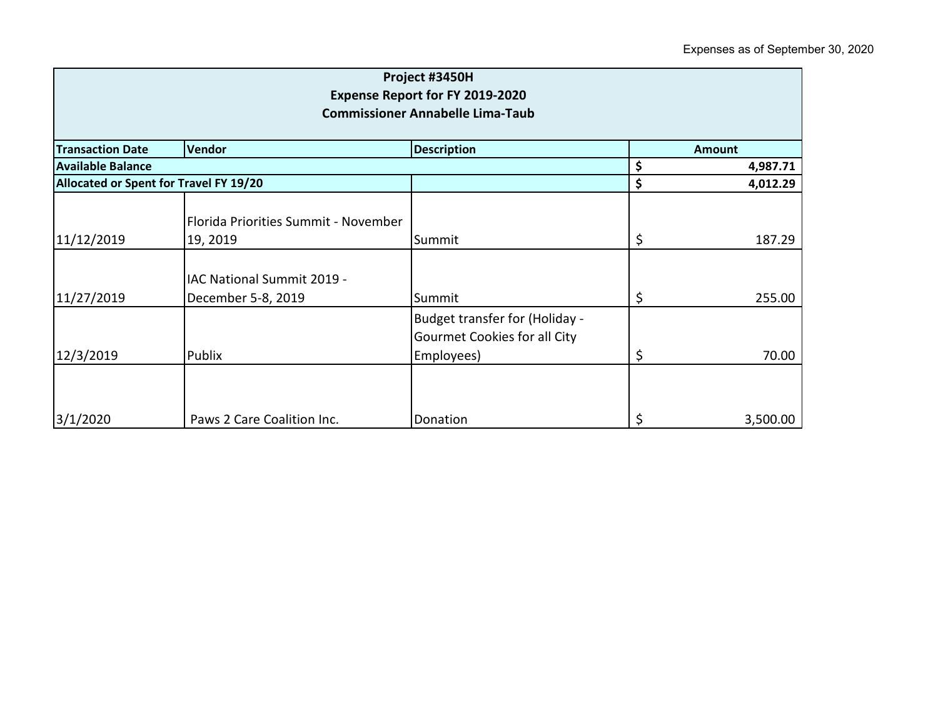| Project #3450H<br><b>Expense Report for FY 2019-2020</b><br><b>Commissioner Annabelle Lima-Taub</b> |                                                  |                                                                                     |    |               |
|-----------------------------------------------------------------------------------------------------|--------------------------------------------------|-------------------------------------------------------------------------------------|----|---------------|
| <b>Transaction Date</b>                                                                             | Vendor                                           | <b>Description</b>                                                                  |    | <b>Amount</b> |
| <b>Available Balance</b>                                                                            |                                                  |                                                                                     | \$ | 4,987.71      |
| Allocated or Spent for Travel FY 19/20                                                              |                                                  |                                                                                     | \$ | 4,012.29      |
| 11/12/2019                                                                                          | Florida Priorities Summit - November<br>19, 2019 | Summit                                                                              | \$ | 187.29        |
| 11/27/2019                                                                                          | IAC National Summit 2019 -<br>December 5-8, 2019 | Summit                                                                              | \$ | 255.00        |
| 12/3/2019                                                                                           | Publix                                           | Budget transfer for (Holiday -<br><b>Gourmet Cookies for all City</b><br>Employees) | \$ | 70.00         |
| 3/1/2020                                                                                            | Paws 2 Care Coalition Inc.                       | Donation                                                                            | \$ | 3,500.00      |